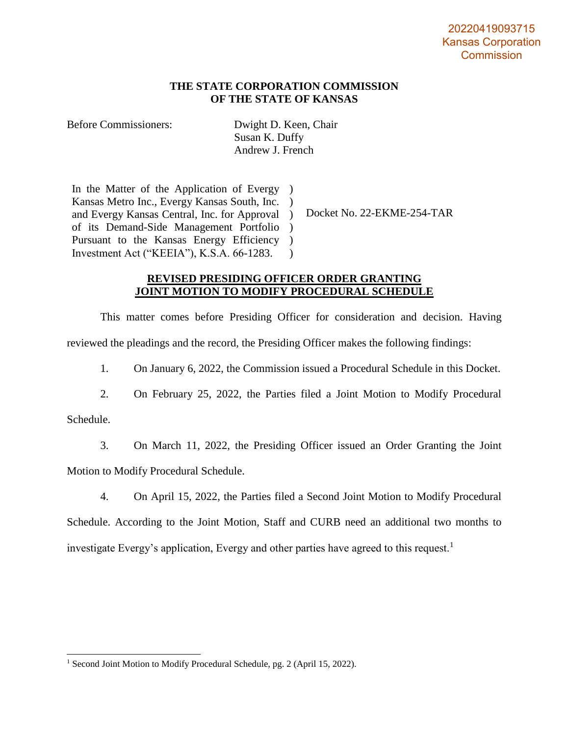# **THE STATE CORPORATION COMMISSION OF THE STATE OF KANSAS**

Before Commissioners: Dwight D. Keen, Chair Susan K. Duffy Andrew J. French

In the Matter of the Application of Evergy ) Kansas Metro Inc., Evergy Kansas South, Inc. ) and Evergy Kansas Central, Inc. for Approval ) of its Demand-Side Management Portfolio ) Pursuant to the Kansas Energy Efficiency ) Investment Act ("KEEIA"), K.S.A. 66-1283.  $\lambda$ 

Docket No. 22-EKME-254-TAR

## **REVISED PRESIDING OFFICER ORDER GRANTING JOINT MOTION TO MODIFY PROCEDURAL SCHEDULE**

This matter comes before Presiding Officer for consideration and decision. Having reviewed the pleadings and the record, the Presiding Officer makes the following findings:

1. On January 6, 2022, the Commission issued a Procedural Schedule in this Docket.

2. On February 25, 2022, the Parties filed a Joint Motion to Modify Procedural

Schedule.

3. On March 11, 2022, the Presiding Officer issued an Order Granting the Joint

Motion to Modify Procedural Schedule.

4. On April 15, 2022, the Parties filed a Second Joint Motion to Modify Procedural

Schedule. According to the Joint Motion, Staff and CURB need an additional two months to investigate Evergy's application, Evergy and other parties have agreed to this request.<sup>1</sup>

<sup>&</sup>lt;sup>1</sup> Second Joint Motion to Modify Procedural Schedule, pg. 2 (April 15, 2022).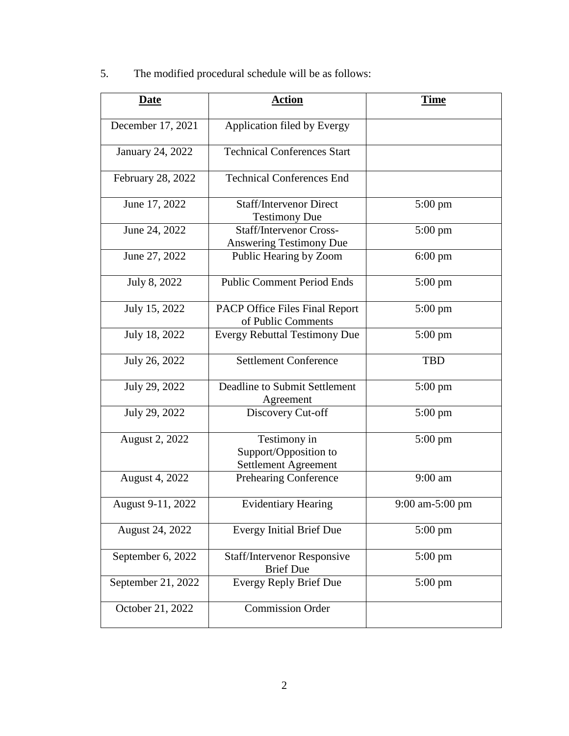5. The modified procedural schedule will be as follows:

| <b>Date</b>        | <b>Action</b>                                                    | <b>Time</b>       |
|--------------------|------------------------------------------------------------------|-------------------|
| December 17, 2021  | Application filed by Evergy                                      |                   |
| January 24, 2022   | <b>Technical Conferences Start</b>                               |                   |
| February 28, 2022  | <b>Technical Conferences End</b>                                 |                   |
| June 17, 2022      | <b>Staff/Intervenor Direct</b><br><b>Testimony Due</b>           | $5:00 \text{ pm}$ |
| June 24, 2022      | <b>Staff/Intervenor Cross-</b><br><b>Answering Testimony Due</b> | $5:00 \text{ pm}$ |
| June 27, 2022      | Public Hearing by Zoom                                           | $6:00 \text{ pm}$ |
| July 8, 2022       | <b>Public Comment Period Ends</b>                                | $5:00 \text{ pm}$ |
| July 15, 2022      | <b>PACP Office Files Final Report</b><br>of Public Comments      | $5:00 \text{ pm}$ |
| July 18, 2022      | <b>Evergy Rebuttal Testimony Due</b>                             | $5:00 \text{ pm}$ |
| July 26, 2022      | <b>Settlement Conference</b>                                     | <b>TBD</b>        |
| July 29, 2022      | Deadline to Submit Settlement<br>Agreement                       | $5:00 \text{ pm}$ |
| July 29, 2022      | Discovery Cut-off                                                | $5:00 \text{ pm}$ |
| August 2, 2022     | Testimony in<br>Support/Opposition to<br>Settlement Agreement    | $5:00 \text{ pm}$ |
| August 4, 2022     | Prehearing Conference                                            | 9:00 am           |
| August 9-11, 2022  | <b>Evidentiary Hearing</b>                                       | 9:00 am-5:00 pm   |
| August 24, 2022    | <b>Evergy Initial Brief Due</b>                                  | $5:00 \text{ pm}$ |
| September 6, 2022  | <b>Staff/Intervenor Responsive</b><br><b>Brief Due</b>           | 5:00 pm           |
| September 21, 2022 | <b>Evergy Reply Brief Due</b>                                    | $5:00$ pm         |
| October 21, 2022   | <b>Commission Order</b>                                          |                   |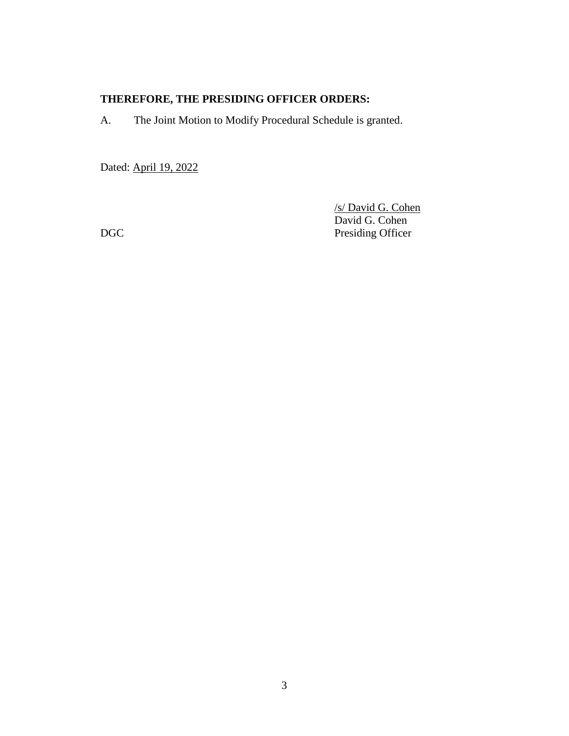# **THEREFORE, THE PRESIDING OFFICER ORDERS:**

A. The Joint Motion to Modify Procedural Schedule is granted.

Dated: April 19, 2022

/s/ David G. Cohen David G. Cohen DGC Presiding Officer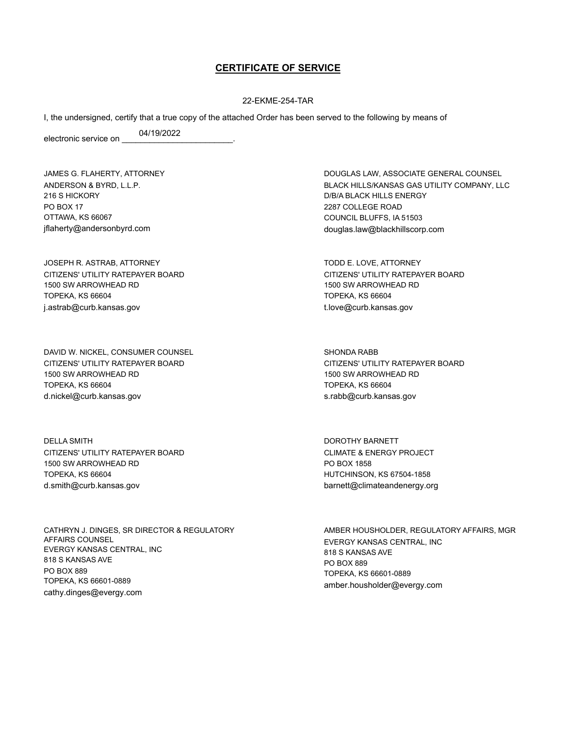## **CERTIFICATE OF SERVICE**

#### 22-EKME-254-TAR

I, the undersigned, certify that a true copy of the attached Order has been served to the following by means of

electronic service on 04/19/2022

JAMES G. FLAHERTY, ATTORNEY ANDERSON & BYRD, L.L.P. 216 S HICKORY PO BOX 17 OTTAWA, KS 66067 jflaherty@andersonbyrd.com

JOSEPH R. ASTRAB, ATTORNEY CITIZENS' UTILITY RATEPAYER BOARD 1500 SW ARROWHEAD RD TOPEKA, KS 66604 j.astrab@curb.kansas.gov

DAVID W. NICKEL, CONSUMER COUNSEL CITIZENS' UTILITY RATEPAYER BOARD 1500 SW ARROWHEAD RD TOPEKA, KS 66604 d.nickel@curb.kansas.gov

DELLA SMITH CITIZENS' UTILITY RATEPAYER BOARD 1500 SW ARROWHEAD RD TOPEKA, KS 66604 d.smith@curb.kansas.gov

CATHRYN J. DINGES, SR DIRECTOR & REGULATORY AFFAIRS COUNSEL EVERGY KANSAS CENTRAL, INC 818 S KANSAS AVE PO BOX 889 TOPEKA, KS 66601-0889 cathy.dinges@evergy.com

DOUGLAS LAW, ASSOCIATE GENERAL COUNSEL BLACK HILLS/KANSAS GAS UTILITY COMPANY, LLC D/B/A BLACK HILLS ENERGY 2287 COLLEGE ROAD COUNCIL BLUFFS, IA 51503 douglas.law@blackhillscorp.com

TODD E. LOVE, ATTORNEY CITIZENS' UTILITY RATEPAYER BOARD 1500 SW ARROWHEAD RD TOPEKA, KS 66604 t.love@curb.kansas.gov

SHONDA RABB CITIZENS' UTILITY RATEPAYER BOARD 1500 SW ARROWHEAD RD TOPEKA, KS 66604 s.rabb@curb.kansas.gov

DOROTHY BARNETT CLIMATE & ENERGY PROJECT PO BOX 1858 HUTCHINSON, KS 67504-1858 barnett@climateandenergy.org

AMBER HOUSHOLDER, REGULATORY AFFAIRS, MGR EVERGY KANSAS CENTRAL, INC 818 S KANSAS AVE PO BOX 889 TOPEKA, KS 66601-0889 amber.housholder@evergy.com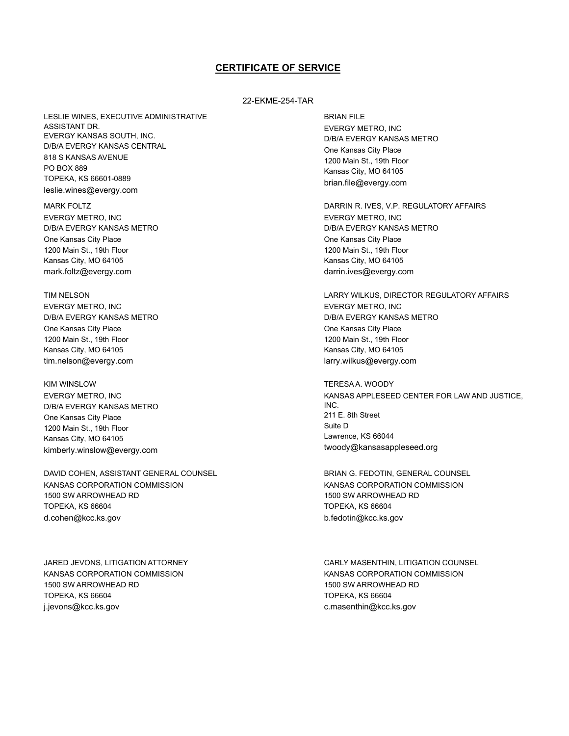## **CERTIFICATE OF SERVICE**

#### 22-EKME-254-TAR

LESLIE WINES, EXECUTIVE ADMINISTRATIVE ASSISTANT DR. EVERGY KANSAS SOUTH, INC. D/B/A EVERGY KANSAS CENTRAL 818 S KANSAS AVENUE PO BOX 889 TOPEKA, KS 66601-0889 leslie.wines@evergy.com

MARK FOLTZ EVERGY METRO, INC D/B/A EVERGY KANSAS METRO One Kansas City Place 1200 Main St., 19th Floor Kansas City, MO 64105 mark.foltz@evergy.com

TIM NELSON EVERGY METRO, INC D/B/A EVERGY KANSAS METRO One Kansas City Place 1200 Main St., 19th Floor Kansas City, MO 64105 tim.nelson@evergy.com

KIM WINSLOW EVERGY METRO, INC D/B/A EVERGY KANSAS METRO One Kansas City Place 1200 Main St., 19th Floor Kansas City, MO 64105 kimberly.winslow@evergy.com

DAVID COHEN, ASSISTANT GENERAL COUNSEL KANSAS CORPORATION COMMISSION 1500 SW ARROWHEAD RD TOPEKA, KS 66604 d.cohen@kcc.ks.gov

JARED JEVONS, LITIGATION ATTORNEY KANSAS CORPORATION COMMISSION 1500 SW ARROWHEAD RD TOPEKA, KS 66604 j.jevons@kcc.ks.gov

BRIAN FILE EVERGY METRO, INC D/B/A EVERGY KANSAS METRO One Kansas City Place 1200 Main St., 19th Floor Kansas City, MO 64105 brian.file@evergy.com

DARRIN R. IVES, V.P. REGULATORY AFFAIRS EVERGY METRO, INC D/B/A EVERGY KANSAS METRO One Kansas City Place 1200 Main St., 19th Floor Kansas City, MO 64105 darrin.ives@evergy.com

LARRY WILKUS, DIRECTOR REGULATORY AFFAIRS EVERGY METRO, INC D/B/A EVERGY KANSAS METRO One Kansas City Place 1200 Main St., 19th Floor Kansas City, MO 64105 larry.wilkus@evergy.com

TERESA A. WOODY KANSAS APPLESEED CENTER FOR LAW AND JUSTICE, INC. 211 E. 8th Street Suite D Lawrence, KS 66044 twoody@kansasappleseed.org

BRIAN G. FEDOTIN, GENERAL COUNSEL KANSAS CORPORATION COMMISSION 1500 SW ARROWHEAD RD TOPEKA, KS 66604 b.fedotin@kcc.ks.gov

CARLY MASENTHIN, LITIGATION COUNSEL KANSAS CORPORATION COMMISSION 1500 SW ARROWHEAD RD TOPEKA, KS 66604 c.masenthin@kcc.ks.gov